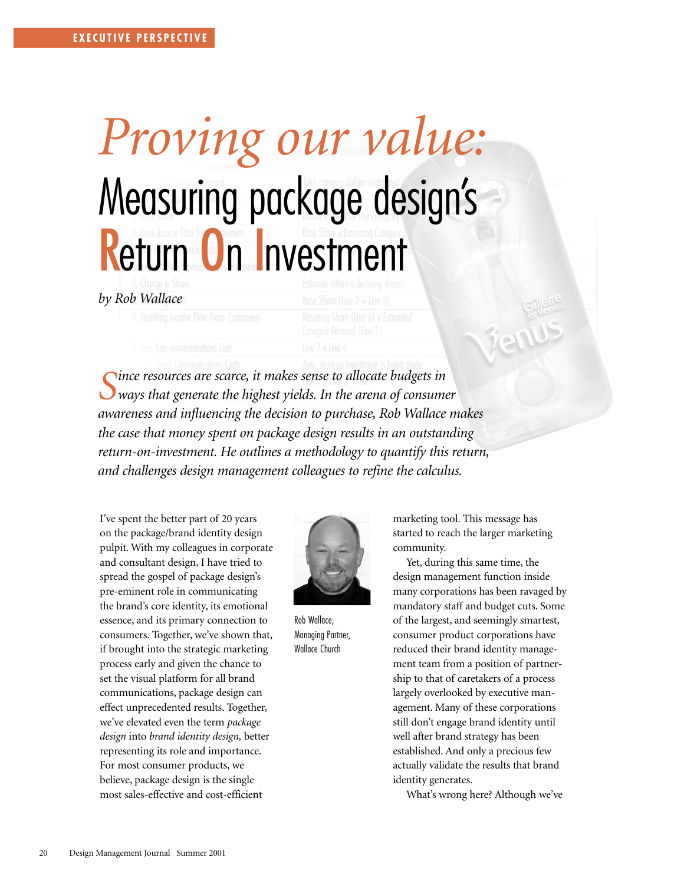# *Proving our value:* Measuring package design's Return On Investment

*by Rob Wallace*

*Since resources are scarce, it makes sense to allocate budgets in ways that generate the highest yields. In the arena of consumer awareness and influencing the decision to purchase, Rob Wallace makes the case that money spent on package design results in an outstanding return-on-investment. He outlines a methodology to quantify this return, and challenges design management colleagues to refine the calculus.*

I've spent the better part of 20 years on the package/brand identity design pulpit. With my colleagues in corporate and consultant design, I have tried to spread the gospel of package design's pre-eminent role in communicating the brand's core identity, its emotional essence, and its primary connection to consumers. Together, we've shown that, if brought into the strategic marketing process early and given the chance to set the visual platform for all brand communications, package design can effect unprecedented results. Together, we've elevated even the term *package design* into *brand identity design,* better representing its role and importance. For most consumer products, we believe, package design is the single most sales-effective and cost-efficient



Rob Wallace, Managing Partner, Wallace Church

marketing tool. This message has started to reach the larger marketing community.

Yet, during this same time, the design management function inside many corporations has been ravaged by mandatory staff and budget cuts. Some of the largest, and seemingly smartest, consumer product corporations have reduced their brand identity management team from a position of partnership to that of caretakers of a process largely overlooked by executive management. Many of these corporations still don't engage brand identity until well after brand strategy has been established. And only a precious few actually validate the results that brand identity generates.

What's wrong here? Although we've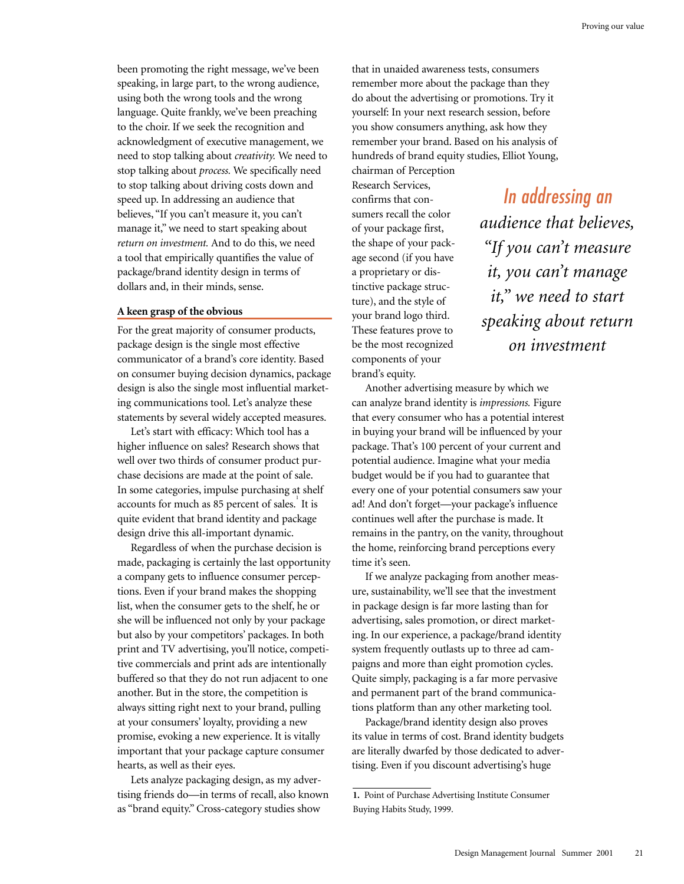been promoting the right message, we've been speaking, in large part, to the wrong audience, using both the wrong tools and the wrong language. Quite frankly, we've been preaching to the choir. If we seek the recognition and acknowledgment of executive management, we need to stop talking about *creativity.* We need to stop talking about *process.* We specifically need to stop talking about driving costs down and speed up. In addressing an audience that believes, "If you can't measure it, you can't manage it," we need to start speaking about *return on investment.* And to do this, we need a tool that empirically quantifies the value of package/brand identity design in terms of dollars and, in their minds, sense.

## **A keen grasp of the obvious**

For the great majority of consumer products, package design is the single most effective communicator of a brand's core identity. Based on consumer buying decision dynamics, package design is also the single most influential marketing communications tool. Let's analyze these statements by several widely accepted measures.

Let's start with efficacy: Which tool has a higher influence on sales? Research shows that well over two thirds of consumer product purchase decisions are made at the point of sale. In some categories, impulse purchasing at shelf  $accounts$  for much as 85 percent of sales.<sup>1</sup> It is quite evident that brand identity and package design drive this all-important dynamic.

Regardless of when the purchase decision is made, packaging is certainly the last opportunity a company gets to influence consumer perceptions. Even if your brand makes the shopping list, when the consumer gets to the shelf, he or she will be influenced not only by your package but also by your competitors' packages. In both print and TV advertising, you'll notice, competitive commercials and print ads are intentionally buffered so that they do not run adjacent to one another. But in the store, the competition is always sitting right next to your brand, pulling at your consumers' loyalty, providing a new promise, evoking a new experience. It is vitally important that your package capture consumer hearts, as well as their eyes.

Lets analyze packaging design, as my advertising friends do—in terms of recall, also known as "brand equity." Cross-category studies show

that in unaided awareness tests, consumers remember more about the package than they do about the advertising or promotions. Try it yourself: In your next research session, before you show consumers anything, ask how they remember your brand. Based on his analysis of hundreds of brand equity studies, Elliot Young, chairman of Perception

Research Services, confirms that consumers recall the color of your package first, the shape of your package second (if you have a proprietary or distinctive package structure), and the style of your brand logo third. These features prove to be the most recognized components of your brand's equity.

*In addressing an audience that believes, "If you can't measure it, you can't manage it," we need to start speaking about return on investment*

Another advertising measure by which we can analyze brand identity is *impressions.* Figure that every consumer who has a potential interest in buying your brand will be influenced by your package. That's 100 percent of your current and potential audience. Imagine what your media budget would be if you had to guarantee that every one of your potential consumers saw your ad! And don't forget—your package's influence continues well after the purchase is made. It remains in the pantry, on the vanity, throughout the home, reinforcing brand perceptions every time it's seen.

If we analyze packaging from another measure, sustainability, we'll see that the investment in package design is far more lasting than for advertising, sales promotion, or direct marketing. In our experience, a package/brand identity system frequently outlasts up to three ad campaigns and more than eight promotion cycles. Quite simply, packaging is a far more pervasive and permanent part of the brand communications platform than any other marketing tool.

Package/brand identity design also proves its value in terms of cost. Brand identity budgets are literally dwarfed by those dedicated to advertising. Even if you discount advertising's huge

**<sup>1.</sup>** Point of Purchase Advertising Institute Consumer Buying Habits Study, 1999.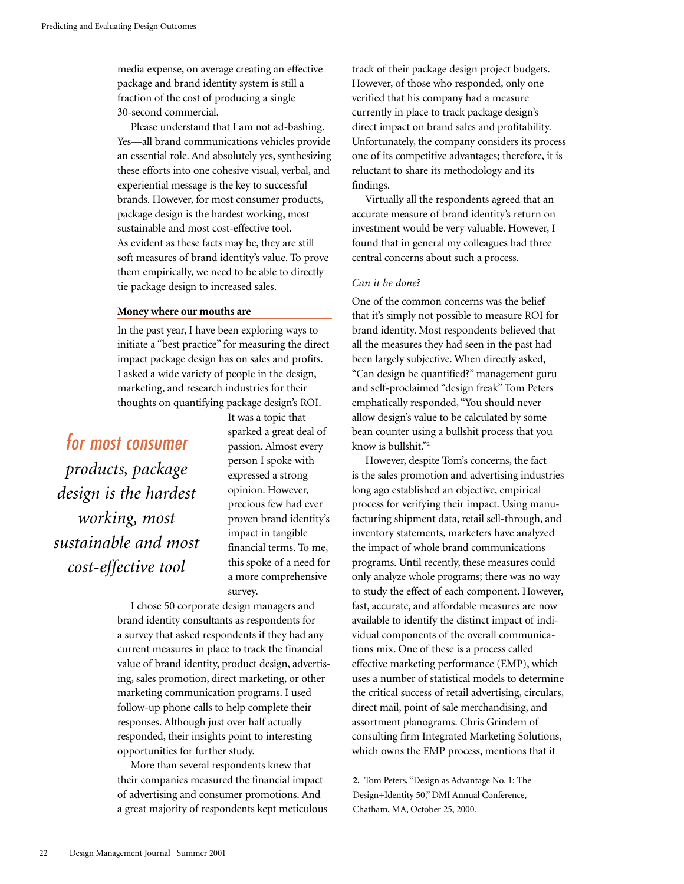media expense, on average creating an effective package and brand identity system is still a fraction of the cost of producing a single 30-second commercial.

Please understand that I am not ad-bashing. Yes—all brand communications vehicles provide an essential role. And absolutely yes, synthesizing these efforts into one cohesive visual, verbal, and experiential message is the key to successful brands. However, for most consumer products, package design is the hardest working, most sustainable and most cost-effective tool. As evident as these facts may be, they are still soft measures of brand identity's value. To prove them empirically, we need to be able to directly tie package design to increased sales.

#### **Money where our mouths are**

In the past year, I have been exploring ways to initiate a "best practice" for measuring the direct impact package design has on sales and profits. I asked a wide variety of people in the design, marketing, and research industries for their thoughts on quantifying package design's ROI.

*for most consumer products, package design is the hardest working, most sustainable and most cost-effective tool*

It was a topic that sparked a great deal of passion. Almost every person I spoke with expressed a strong opinion. However, precious few had ever proven brand identity's impact in tangible financial terms. To me, this spoke of a need for a more comprehensive survey.

I chose 50 corporate design managers and brand identity consultants as respondents for a survey that asked respondents if they had any current measures in place to track the financial value of brand identity, product design, advertising, sales promotion, direct marketing, or other marketing communication programs. I used follow-up phone calls to help complete their responses. Although just over half actually responded, their insights point to interesting opportunities for further study.

More than several respondents knew that their companies measured the financial impact of advertising and consumer promotions. And a great majority of respondents kept meticulous track of their package design project budgets. However, of those who responded, only one verified that his company had a measure currently in place to track package design's direct impact on brand sales and profitability. Unfortunately, the company considers its process one of its competitive advantages; therefore, it is reluctant to share its methodology and its findings.

Virtually all the respondents agreed that an accurate measure of brand identity's return on investment would be very valuable. However, I found that in general my colleagues had three central concerns about such a process.

#### *Can it be done?*

One of the common concerns was the belief that it's simply not possible to measure ROI for brand identity. Most respondents believed that all the measures they had seen in the past had been largely subjective. When directly asked, "Can design be quantified?" management guru and self-proclaimed "design freak" Tom Peters emphatically responded, "You should never allow design's value to be calculated by some bean counter using a bullshit process that you know is bullshit."<sup>2</sup>

However, despite Tom's concerns, the fact is the sales promotion and advertising industries long ago established an objective, empirical process for verifying their impact. Using manufacturing shipment data, retail sell-through, and inventory statements, marketers have analyzed the impact of whole brand communications programs. Until recently, these measures could only analyze whole programs; there was no way to study the effect of each component. However, fast, accurate, and affordable measures are now available to identify the distinct impact of individual components of the overall communications mix. One of these is a process called effective marketing performance (EMP), which uses a number of statistical models to determine the critical success of retail advertising, circulars, direct mail, point of sale merchandising, and assortment planograms. Chris Grindem of consulting firm Integrated Marketing Solutions, which owns the EMP process, mentions that it

**<sup>2.</sup>** Tom Peters, "Design as Advantage No. 1: The Design+Identity 50," DMI Annual Conference, Chatham, MA, October 25, 2000.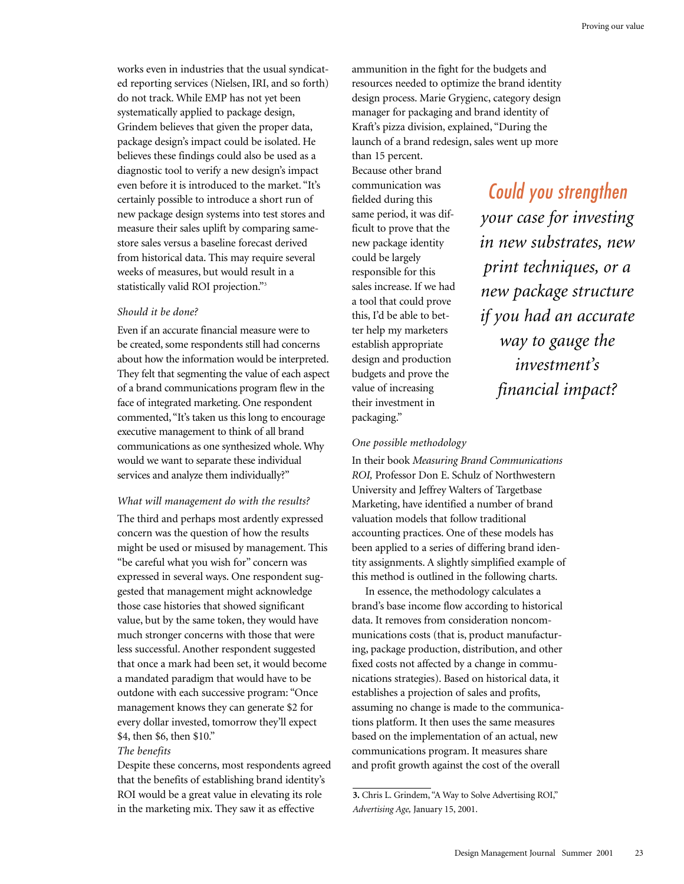works even in industries that the usual syndicated reporting services (Nielsen, IRI, and so forth) do not track. While EMP has not yet been systematically applied to package design, Grindem believes that given the proper data, package design's impact could be isolated. He believes these findings could also be used as a diagnostic tool to verify a new design's impact even before it is introduced to the market. "It's certainly possible to introduce a short run of new package design systems into test stores and measure their sales uplift by comparing samestore sales versus a baseline forecast derived from historical data. This may require several weeks of measures, but would result in a statistically valid ROI projection."3

## *Should it be done?*

Even if an accurate financial measure were to be created, some respondents still had concerns about how the information would be interpreted. They felt that segmenting the value of each aspect of a brand communications program flew in the face of integrated marketing. One respondent commented, "It's taken us this long to encourage executive management to think of all brand communications as one synthesized whole. Why would we want to separate these individual services and analyze them individually?"

#### *What will management do with the results?*

The third and perhaps most ardently expressed concern was the question of how the results might be used or misused by management. This "be careful what you wish for" concern was expressed in several ways. One respondent suggested that management might acknowledge those case histories that showed significant value, but by the same token, they would have much stronger concerns with those that were less successful. Another respondent suggested that once a mark had been set, it would become a mandated paradigm that would have to be outdone with each successive program: "Once management knows they can generate \$2 for every dollar invested, tomorrow they'll expect \$4, then \$6, then \$10."

# *The benefits*

Despite these concerns, most respondents agreed that the benefits of establishing brand identity's ROI would be a great value in elevating its role in the marketing mix. They saw it as effective

ammunition in the fight for the budgets and resources needed to optimize the brand identity design process. Marie Grygienc, category design manager for packaging and brand identity of Kraft's pizza division, explained, "During the launch of a brand redesign, sales went up more than 15 percent.

Because other brand communication was fielded during this same period, it was difficult to prove that the new package identity could be largely responsible for this sales increase. If we had a tool that could prove this, I'd be able to better help my marketers establish appropriate design and production budgets and prove the value of increasing their investment in packaging."

*Could you strengthen your case for investing in new substrates, new print techniques, or a new package structure if you had an accurate way to gauge the investment's financial impact?*

#### *One possible methodology*

In their book *Measuring Brand Communications ROI,* Professor Don E. Schulz of Northwestern University and Jeffrey Walters of Targetbase Marketing, have identified a number of brand valuation models that follow traditional accounting practices. One of these models has been applied to a series of differing brand identity assignments. A slightly simplified example of this method is outlined in the following charts.

In essence, the methodology calculates a brand's base income flow according to historical data. It removes from consideration noncommunications costs (that is, product manufacturing, package production, distribution, and other fixed costs not affected by a change in communications strategies). Based on historical data, it establishes a projection of sales and profits, assuming no change is made to the communications platform. It then uses the same measures based on the implementation of an actual, new communications program. It measures share and profit growth against the cost of the overall

**<sup>3.</sup>** Chris L. Grindem, "A Way to Solve Advertising ROI," *Advertising Age,* January 15, 2001.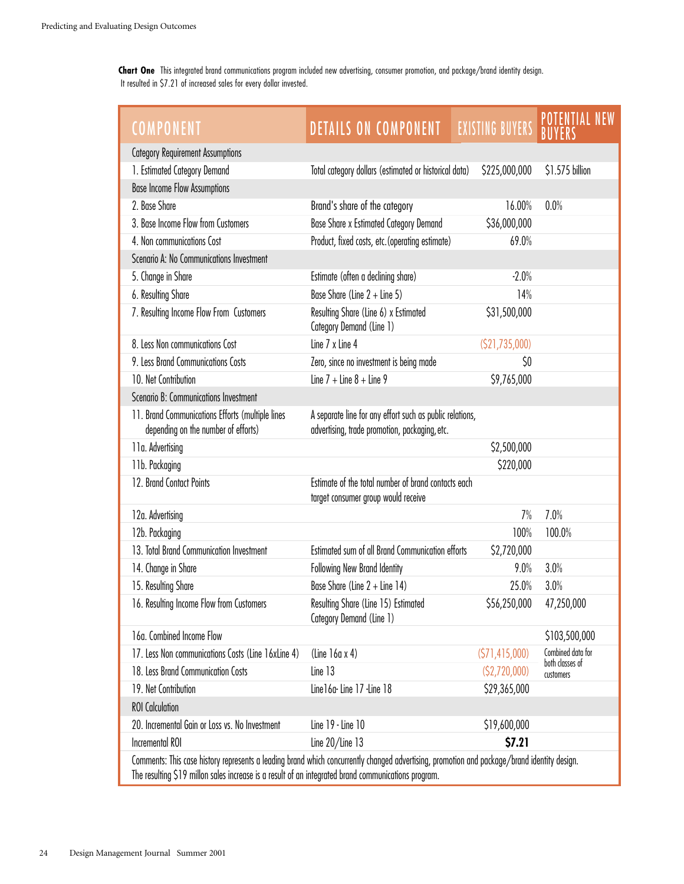**Chart One** This integrated brand communications program included new advertising, consumer promotion, and package/brand identity design. It resulted in \$7.21 of increased sales for every dollar invested.

| <b>COMPONENT</b>                                                                                                                                                                                                                                   | <b>DETAILS ON COMPONENT</b>                                                                               | <b>EXISTING BUYERS</b> | POTENTIAL NEW<br><b>BUYERS</b> |  |  |
|----------------------------------------------------------------------------------------------------------------------------------------------------------------------------------------------------------------------------------------------------|-----------------------------------------------------------------------------------------------------------|------------------------|--------------------------------|--|--|
| <b>Category Requirement Assumptions</b>                                                                                                                                                                                                            |                                                                                                           |                        |                                |  |  |
| 1. Estimated Category Demand                                                                                                                                                                                                                       | Total category dollars (estimated or historical data)                                                     | \$225,000,000          | \$1.575 billion                |  |  |
| <b>Base Income Flow Assumptions</b>                                                                                                                                                                                                                |                                                                                                           |                        |                                |  |  |
| 2. Base Share                                                                                                                                                                                                                                      | Brand's share of the category                                                                             | 16.00%                 | 0.0%                           |  |  |
| 3. Base Income Flow from Customers                                                                                                                                                                                                                 | <b>Base Share x Estimated Category Demand</b>                                                             | \$36,000,000           |                                |  |  |
| 4. Non communications Cost                                                                                                                                                                                                                         | Product, fixed costs, etc. (operating estimate)                                                           | 69.0%                  |                                |  |  |
| Scenario A: No Communications Investment                                                                                                                                                                                                           |                                                                                                           |                        |                                |  |  |
| 5. Change in Share                                                                                                                                                                                                                                 | Estimate (often a declining share)                                                                        | $-2.0%$                |                                |  |  |
| 6. Resulting Share                                                                                                                                                                                                                                 | Base Share (Line $2 +$ Line 5)                                                                            | 14%                    |                                |  |  |
| 7. Resulting Income Flow From Customers                                                                                                                                                                                                            | Resulting Share (Line 6) x Estimated<br>Category Demand (Line 1)                                          | \$31,500,000           |                                |  |  |
| 8. Less Non communications Cost                                                                                                                                                                                                                    | Line 7 x Line 4                                                                                           | (521, 735, 000)        |                                |  |  |
| 9. Less Brand Communications Costs                                                                                                                                                                                                                 | Zero, since no investment is being made                                                                   | \$0                    |                                |  |  |
| 10. Net Contribution                                                                                                                                                                                                                               | Line $7 +$ Line $8 +$ Line 9                                                                              | \$9,765,000            |                                |  |  |
| Scenario B: Communications Investment                                                                                                                                                                                                              |                                                                                                           |                        |                                |  |  |
| 11. Brand Communications Efforts (multiple lines<br>depending on the number of efforts)                                                                                                                                                            | A separate line for any effort such as public relations,<br>advertising, trade promotion, packaging, etc. |                        |                                |  |  |
| 11a. Advertising                                                                                                                                                                                                                                   |                                                                                                           | \$2,500,000            |                                |  |  |
| 11b. Packaging                                                                                                                                                                                                                                     |                                                                                                           | \$220,000              |                                |  |  |
| 12. Brand Contact Points                                                                                                                                                                                                                           | Estimate of the total number of brand contacts each<br>target consumer group would receive                |                        |                                |  |  |
| 12a. Advertising                                                                                                                                                                                                                                   |                                                                                                           | 7%                     | 7.0%                           |  |  |
| 12b. Packaging                                                                                                                                                                                                                                     |                                                                                                           | 100%                   | 100.0%                         |  |  |
| 13. Total Brand Communication Investment                                                                                                                                                                                                           | Estimated sum of all Brand Communication efforts                                                          | \$2,720,000            |                                |  |  |
| 14. Change in Share                                                                                                                                                                                                                                | Following New Brand Identity                                                                              | 9.0%                   | 3.0%                           |  |  |
| 15. Resulting Share                                                                                                                                                                                                                                | Base Share (Line $2 +$ Line 14)                                                                           | 25.0%                  | 3.0%                           |  |  |
| 16. Resulting Income Flow from Customers                                                                                                                                                                                                           | Resulting Share (Line 15) Estimated<br>Category Demand (Line 1)                                           | \$56,250,000           | 47,250,000                     |  |  |
| 16g. Combined Income Flow                                                                                                                                                                                                                          |                                                                                                           |                        | \$103,500,000                  |  |  |
| 17. Less Non communications Costs (Line 16xLine 4)                                                                                                                                                                                                 | $(line 16a \times 4)$                                                                                     | (571, 415, 000)        | Combined data for              |  |  |
| 18. Less Brand Communication Costs                                                                                                                                                                                                                 | Line 13                                                                                                   | (52, 720, 000)         | both classes of<br>customers   |  |  |
| 19. Net Contribution                                                                                                                                                                                                                               | Line 16a-Line 17 -Line 18                                                                                 | \$29,365,000           |                                |  |  |
| <b>ROI Calculation</b>                                                                                                                                                                                                                             |                                                                                                           |                        |                                |  |  |
| 20. Incremental Gain or Loss vs. No Investment                                                                                                                                                                                                     | Line 19 - Line 10                                                                                         | \$19,600,000           |                                |  |  |
| <b>Incremental ROI</b>                                                                                                                                                                                                                             | Line 20/Line 13                                                                                           | \$7.21                 |                                |  |  |
| Comments: This case history represents a leading brand which concurrently changed advertising, promotion and package/brand identity design.<br>The resulting \$19 millon sales increase is a result of an integrated brand communications program. |                                                                                                           |                        |                                |  |  |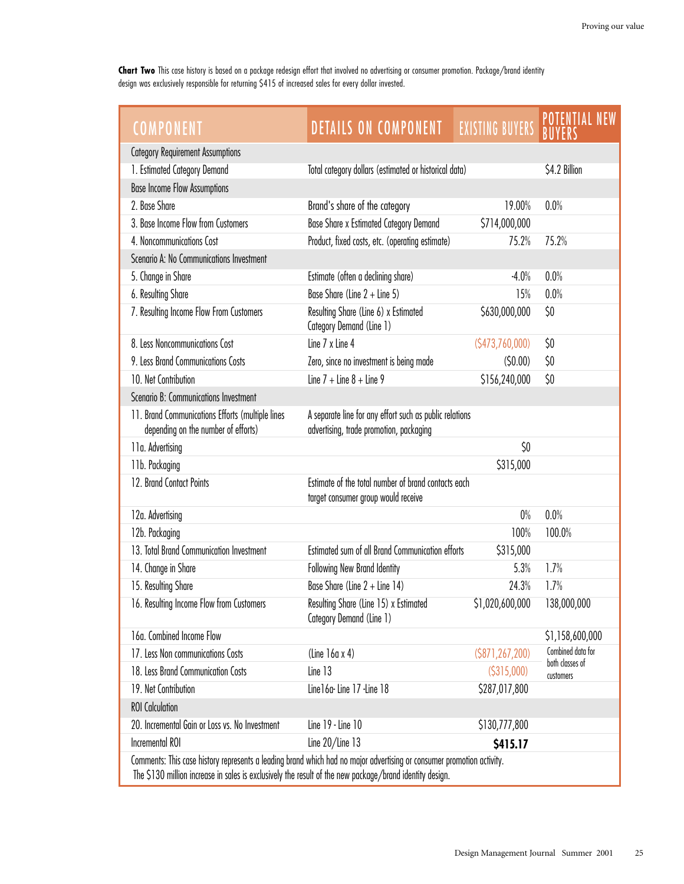**Chart Two** This case history is based on a package redesign effort that involved no advertising or consumer promotion. Package/brand identity design was exclusively responsible for returning \$415 of increased sales for every dollar invested.

| <b>COMPONENT</b>                                                                                                                                                                                                                 | <b>DETAILS ON COMPONENT</b>                                                                        | EXISTING BUYERS  | POTENTIAL NEW<br>BUYERS      |  |  |
|----------------------------------------------------------------------------------------------------------------------------------------------------------------------------------------------------------------------------------|----------------------------------------------------------------------------------------------------|------------------|------------------------------|--|--|
| <b>Category Requirement Assumptions</b>                                                                                                                                                                                          |                                                                                                    |                  |                              |  |  |
| 1. Estimated Category Demand                                                                                                                                                                                                     | Total category dollars (estimated or historical data)                                              |                  | \$4.2 Billion                |  |  |
| <b>Base Income Flow Assumptions</b>                                                                                                                                                                                              |                                                                                                    |                  |                              |  |  |
| 2. Base Share                                                                                                                                                                                                                    | Brand's share of the category                                                                      | 19.00%           | 0.0%                         |  |  |
| 3. Base Income Flow from Customers                                                                                                                                                                                               | <b>Base Share x Estimated Category Demand</b>                                                      | \$714,000,000    |                              |  |  |
| 4. Noncommunications Cost                                                                                                                                                                                                        | Product, fixed costs, etc. (operating estimate)                                                    | 75.2%            | 75.2%                        |  |  |
| Scenario A: No Communications Investment                                                                                                                                                                                         |                                                                                                    |                  |                              |  |  |
| 5. Change in Share                                                                                                                                                                                                               | Estimate (often a declining share)                                                                 | $-4.0%$          | 0.0%                         |  |  |
| 6. Resulting Share                                                                                                                                                                                                               | Base Share (Line $2 +$ Line 5)                                                                     | 15%              | 0.0%                         |  |  |
| 7. Resulting Income Flow From Customers                                                                                                                                                                                          | Resulting Share (Line 6) x Estimated<br>Category Demand (Line 1)                                   | \$630,000,000    | \$0                          |  |  |
| 8. Less Noncommunications Cost                                                                                                                                                                                                   | Line 7 x Line 4                                                                                    | (5473,760,000)   | \$0                          |  |  |
| 9. Less Brand Communications Costs                                                                                                                                                                                               | Zero, since no investment is being made                                                            | (50.00)          | \$0                          |  |  |
| 10. Net Contribution                                                                                                                                                                                                             | Line $7 +$ Line $8 +$ Line 9                                                                       | \$156,240,000    | \$0                          |  |  |
| Scenario B: Communications Investment                                                                                                                                                                                            |                                                                                                    |                  |                              |  |  |
| 11. Brand Communications Efforts (multiple lines<br>depending on the number of efforts)                                                                                                                                          | A separate line for any effort such as public relations<br>advertising, trade promotion, packaging |                  |                              |  |  |
| 11a. Advertising                                                                                                                                                                                                                 |                                                                                                    | \$0              |                              |  |  |
| 11b. Packaging                                                                                                                                                                                                                   |                                                                                                    | \$315,000        |                              |  |  |
| 12. Brand Contact Points                                                                                                                                                                                                         | Estimate of the total number of brand contacts each<br>target consumer group would receive         |                  |                              |  |  |
| 12a. Advertising                                                                                                                                                                                                                 |                                                                                                    | $0\%$            | 0.0%                         |  |  |
| 12b. Packaging                                                                                                                                                                                                                   |                                                                                                    | 100%             | 100.0%                       |  |  |
| 13. Total Brand Communication Investment                                                                                                                                                                                         | Estimated sum of all Brand Communication efforts                                                   | \$315,000        |                              |  |  |
| 14. Change in Share                                                                                                                                                                                                              | Following New Brand Identity                                                                       | 5.3%             | 1.7%                         |  |  |
| 15. Resulting Share                                                                                                                                                                                                              | Base Share (Line $2 +$ Line 14)                                                                    | 24.3%            | 1.7%                         |  |  |
| 16. Resulting Income Flow from Customers                                                                                                                                                                                         | Resulting Share (Line 15) x Estimated<br>Category Demand (Line 1)                                  | \$1,020,600,000  | 138,000,000                  |  |  |
| 16g. Combined Income Flow                                                                                                                                                                                                        |                                                                                                    |                  | \$1,158,600,000              |  |  |
| 17. Less Non communications Costs                                                                                                                                                                                                | $(line 16a \times 4)$                                                                              | (5871, 267, 200) | Combined data for            |  |  |
| 18. Less Brand Communication Costs                                                                                                                                                                                               | Line 13                                                                                            | (5315,000)       | both classes of<br>customers |  |  |
| 19. Net Contribution                                                                                                                                                                                                             | Line16a-Line 17 -Line 18                                                                           | \$287,017,800    |                              |  |  |
| <b>ROI Calculation</b>                                                                                                                                                                                                           |                                                                                                    |                  |                              |  |  |
| 20. Incremental Gain or Loss vs. No Investment                                                                                                                                                                                   | Line 19 - Line 10                                                                                  | \$130,777,800    |                              |  |  |
| <b>Incremental ROI</b>                                                                                                                                                                                                           | Line 20/Line 13                                                                                    | \$415.17         |                              |  |  |
| Comments: This case history represents a leading brand which had no major advertising or consumer promotion activity.<br>The \$130 million increase in sales is exclusively the result of the new package/brand identity design. |                                                                                                    |                  |                              |  |  |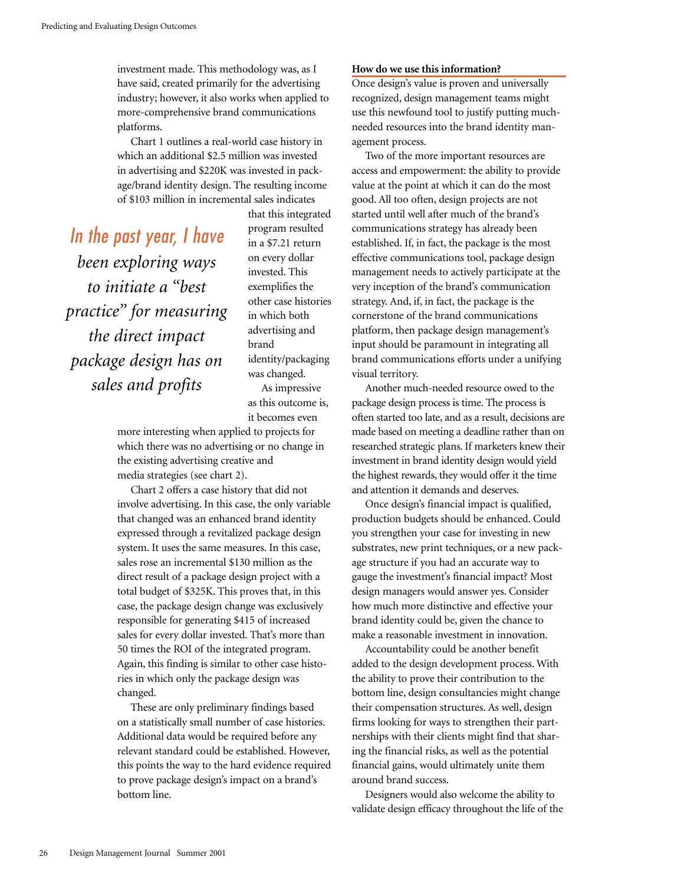investment made. This methodology was, as I have said, created primarily for the advertising industry; however, it also works when applied to more-comprehensive brand communications platforms.

Chart 1 outlines a real-world case history in which an additional \$2.5 million was invested in advertising and \$220K was invested in package/brand identity design. The resulting income of \$103 million in incremental sales indicates

*In the past year, I have been exploring ways to initiate a "best practice" for measuring the direct impact package design has on sales and profits*

that this integrated program resulted in a \$7.21 return on every dollar invested. This exemplifies the other case histories in which both advertising and brand identity/packaging was changed. As impressive

as this outcome is, it becomes even

more interesting when applied to projects for which there was no advertising or no change in the existing advertising creative and media strategies (see chart 2).

Chart 2 offers a case history that did not involve advertising. In this case, the only variable that changed was an enhanced brand identity expressed through a revitalized package design system. It uses the same measures. In this case, sales rose an incremental \$130 million as the direct result of a package design project with a total budget of \$325K. This proves that, in this case, the package design change was exclusively responsible for generating \$415 of increased sales for every dollar invested. That's more than 50 times the ROI of the integrated program. Again, this finding is similar to other case histories in which only the package design was changed.

These are only preliminary findings based on a statistically small number of case histories. Additional data would be required before any relevant standard could be established. However, this points the way to the hard evidence required to prove package design's impact on a brand's bottom line.

#### **How do we use this information?**

Once design's value is proven and universally recognized, design management teams might use this newfound tool to justify putting muchneeded resources into the brand identity management process.

Two of the more important resources are access and empowerment: the ability to provide value at the point at which it can do the most good. All too often, design projects are not started until well after much of the brand's communications strategy has already been established. If, in fact, the package is the most effective communications tool, package design management needs to actively participate at the very inception of the brand's communication strategy. And, if, in fact, the package is the cornerstone of the brand communications platform, then package design management's input should be paramount in integrating all brand communications efforts under a unifying visual territory.

Another much-needed resource owed to the package design process is time. The process is often started too late, and as a result, decisions are made based on meeting a deadline rather than on researched strategic plans. If marketers knew their investment in brand identity design would yield the highest rewards, they would offer it the time and attention it demands and deserves.

Once design's financial impact is qualified, production budgets should be enhanced. Could you strengthen your case for investing in new substrates, new print techniques, or a new package structure if you had an accurate way to gauge the investment's financial impact? Most design managers would answer yes. Consider how much more distinctive and effective your brand identity could be, given the chance to make a reasonable investment in innovation.

Accountability could be another benefit added to the design development process. With the ability to prove their contribution to the bottom line, design consultancies might change their compensation structures. As well, design firms looking for ways to strengthen their partnerships with their clients might find that sharing the financial risks, as well as the potential financial gains, would ultimately unite them around brand success.

Designers would also welcome the ability to validate design efficacy throughout the life of the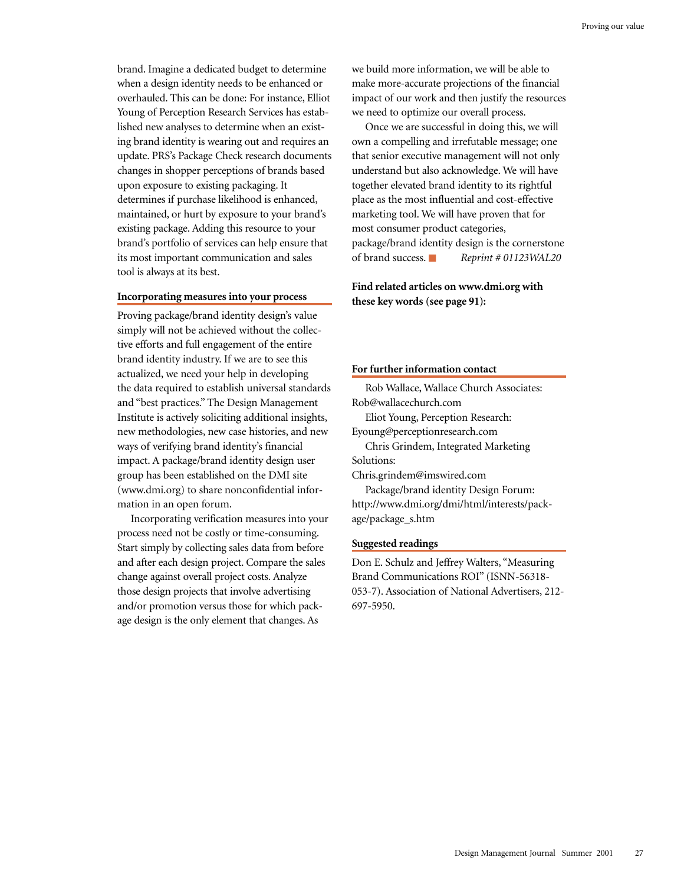brand. Imagine a dedicated budget to determine when a design identity needs to be enhanced or overhauled. This can be done: For instance, Elliot Young of Perception Research Services has established new analyses to determine when an existing brand identity is wearing out and requires an update. PRS's Package Check research documents changes in shopper perceptions of brands based upon exposure to existing packaging. It determines if purchase likelihood is enhanced, maintained, or hurt by exposure to your brand's existing package. Adding this resource to your brand's portfolio of services can help ensure that its most important communication and sales tool is always at its best.

#### **Incorporating measures into your process**

Proving package/brand identity design's value simply will not be achieved without the collective efforts and full engagement of the entire brand identity industry. If we are to see this actualized, we need your help in developing the data required to establish universal standards and "best practices." The Design Management Institute is actively soliciting additional insights, new methodologies, new case histories, and new ways of verifying brand identity's financial impact. A package/brand identity design user group has been established on the DMI site (www.dmi.org) to share nonconfidential information in an open forum.

Incorporating verification measures into your process need not be costly or time-consuming. Start simply by collecting sales data from before and after each design project. Compare the sales change against overall project costs. Analyze those design projects that involve advertising and/or promotion versus those for which package design is the only element that changes. As

we build more information, we will be able to make more-accurate projections of the financial impact of our work and then justify the resources we need to optimize our overall process.

Once we are successful in doing this, we will own a compelling and irrefutable message; one that senior executive management will not only understand but also acknowledge. We will have together elevated brand identity to its rightful place as the most influential and cost-effective marketing tool. We will have proven that for most consumer product categories, package/brand identity design is the cornerstone of brand success. *Reprint # 01123WAL20*

# **Find related articles on www.dmi.org with these key words (see page 91):**

#### **For further information contact**

Rob Wallace, Wallace Church Associates: Rob@wallacechurch.com Eliot Young, Perception Research: Eyoung@perceptionresearch.com Chris Grindem, Integrated Marketing Solutions: Chris.grindem@imswired.com Package/brand identity Design Forum: http://www.dmi.org/dmi/html/interests/package/package\_s.htm

#### **Suggested readings**

Don E. Schulz and Jeffrey Walters, "Measuring Brand Communications ROI" (ISNN-56318- 053-7). Association of National Advertisers, 212- 697-5950.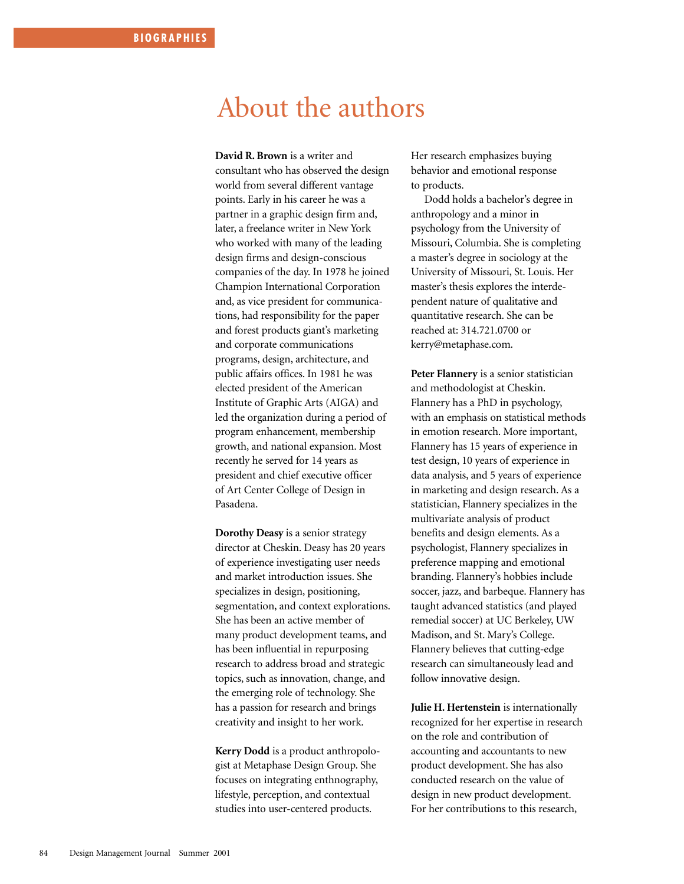# About the authors

**David R. Brown** is a writer and consultant who has observed the design world from several different vantage points. Early in his career he was a partner in a graphic design firm and, later, a freelance writer in New York who worked with many of the leading design firms and design-conscious companies of the day. In 1978 he joined Champion International Corporation and, as vice president for communications, had responsibility for the paper and forest products giant's marketing and corporate communications programs, design, architecture, and public affairs offices. In 1981 he was elected president of the American Institute of Graphic Arts (AIGA) and led the organization during a period of program enhancement, membership growth, and national expansion. Most recently he served for 14 years as president and chief executive officer of Art Center College of Design in Pasadena.

**Dorothy Deasy** is a senior strategy director at Cheskin. Deasy has 20 years of experience investigating user needs and market introduction issues. She specializes in design, positioning, segmentation, and context explorations. She has been an active member of many product development teams, and has been influential in repurposing research to address broad and strategic topics, such as innovation, change, and the emerging role of technology. She has a passion for research and brings creativity and insight to her work.

**Kerry Dodd** is a product anthropologist at Metaphase Design Group. She focuses on integrating enthnography, lifestyle, perception, and contextual studies into user-centered products.

Her research emphasizes buying behavior and emotional response to products.

Dodd holds a bachelor's degree in anthropology and a minor in psychology from the University of Missouri, Columbia. She is completing a master's degree in sociology at the University of Missouri, St. Louis. Her master's thesis explores the interdependent nature of qualitative and quantitative research. She can be reached at: 314.721.0700 or kerry@metaphase.com.

**Peter Flannery** is a senior statistician and methodologist at Cheskin. Flannery has a PhD in psychology, with an emphasis on statistical methods in emotion research. More important, Flannery has 15 years of experience in test design, 10 years of experience in data analysis, and 5 years of experience in marketing and design research. As a statistician, Flannery specializes in the multivariate analysis of product benefits and design elements. As a psychologist, Flannery specializes in preference mapping and emotional branding. Flannery's hobbies include soccer, jazz, and barbeque. Flannery has taught advanced statistics (and played remedial soccer) at UC Berkeley, UW Madison, and St. Mary's College. Flannery believes that cutting-edge research can simultaneously lead and follow innovative design.

**Julie H. Hertenstein** is internationally recognized for her expertise in research on the role and contribution of accounting and accountants to new product development. She has also conducted research on the value of design in new product development. For her contributions to this research,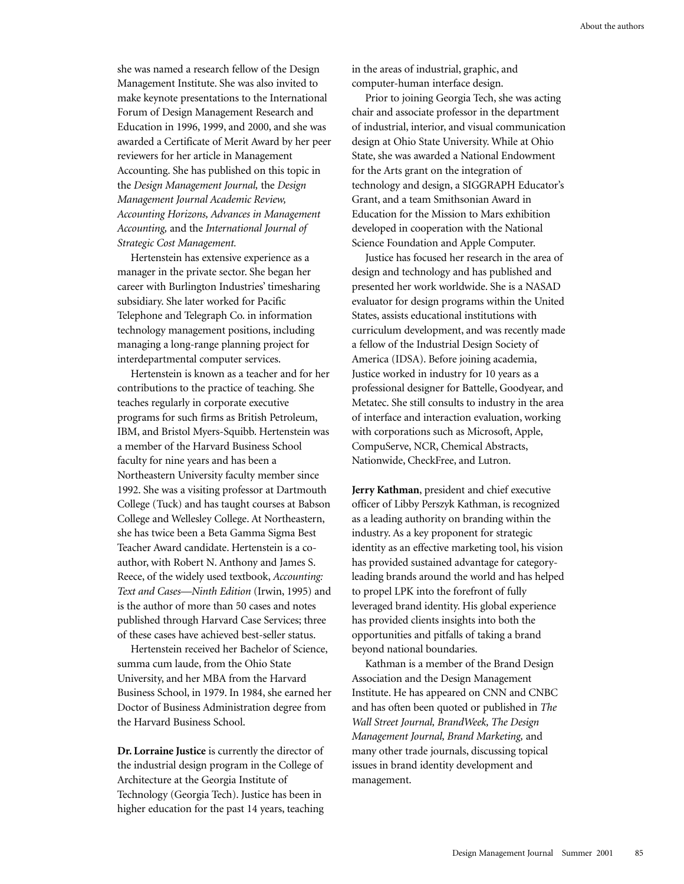she was named a research fellow of the Design Management Institute. She was also invited to make keynote presentations to the International Forum of Design Management Research and Education in 1996, 1999, and 2000, and she was awarded a Certificate of Merit Award by her peer reviewers for her article in Management Accounting. She has published on this topic in the *Design Management Journal,* the *Design Management Journal Academic Review, Accounting Horizons, Advances in Management Accounting,* and the *International Journal of Strategic Cost Management.*

Hertenstein has extensive experience as a manager in the private sector. She began her career with Burlington Industries' timesharing subsidiary. She later worked for Pacific Telephone and Telegraph Co. in information technology management positions, including managing a long-range planning project for interdepartmental computer services.

Hertenstein is known as a teacher and for her contributions to the practice of teaching. She teaches regularly in corporate executive programs for such firms as British Petroleum, IBM, and Bristol Myers-Squibb. Hertenstein was a member of the Harvard Business School faculty for nine years and has been a Northeastern University faculty member since 1992. She was a visiting professor at Dartmouth College (Tuck) and has taught courses at Babson College and Wellesley College. At Northeastern, she has twice been a Beta Gamma Sigma Best Teacher Award candidate. Hertenstein is a coauthor, with Robert N. Anthony and James S. Reece, of the widely used textbook, *Accounting: Text and Cases—Ninth Edition* (Irwin, 1995) and is the author of more than 50 cases and notes published through Harvard Case Services; three of these cases have achieved best-seller status.

Hertenstein received her Bachelor of Science, summa cum laude, from the Ohio State University, and her MBA from the Harvard Business School, in 1979. In 1984, she earned her Doctor of Business Administration degree from the Harvard Business School.

**Dr. Lorraine Justice** is currently the director of the industrial design program in the College of Architecture at the Georgia Institute of Technology (Georgia Tech). Justice has been in higher education for the past 14 years, teaching in the areas of industrial, graphic, and computer-human interface design.

Prior to joining Georgia Tech, she was acting chair and associate professor in the department of industrial, interior, and visual communication design at Ohio State University. While at Ohio State, she was awarded a National Endowment for the Arts grant on the integration of technology and design, a SIGGRAPH Educator's Grant, and a team Smithsonian Award in Education for the Mission to Mars exhibition developed in cooperation with the National Science Foundation and Apple Computer.

Justice has focused her research in the area of design and technology and has published and presented her work worldwide. She is a NASAD evaluator for design programs within the United States, assists educational institutions with curriculum development, and was recently made a fellow of the Industrial Design Society of America (IDSA). Before joining academia, Justice worked in industry for 10 years as a professional designer for Battelle, Goodyear, and Metatec. She still consults to industry in the area of interface and interaction evaluation, working with corporations such as Microsoft, Apple, CompuServe, NCR, Chemical Abstracts, Nationwide, CheckFree, and Lutron.

**Jerry Kathman**, president and chief executive officer of Libby Perszyk Kathman, is recognized as a leading authority on branding within the industry. As a key proponent for strategic identity as an effective marketing tool, his vision has provided sustained advantage for categoryleading brands around the world and has helped to propel LPK into the forefront of fully leveraged brand identity. His global experience has provided clients insights into both the opportunities and pitfalls of taking a brand beyond national boundaries.

Kathman is a member of the Brand Design Association and the Design Management Institute. He has appeared on CNN and CNBC and has often been quoted or published in *The Wall Street Journal, BrandWeek, The Design Management Journal, Brand Marketing,* and many other trade journals, discussing topical issues in brand identity development and management.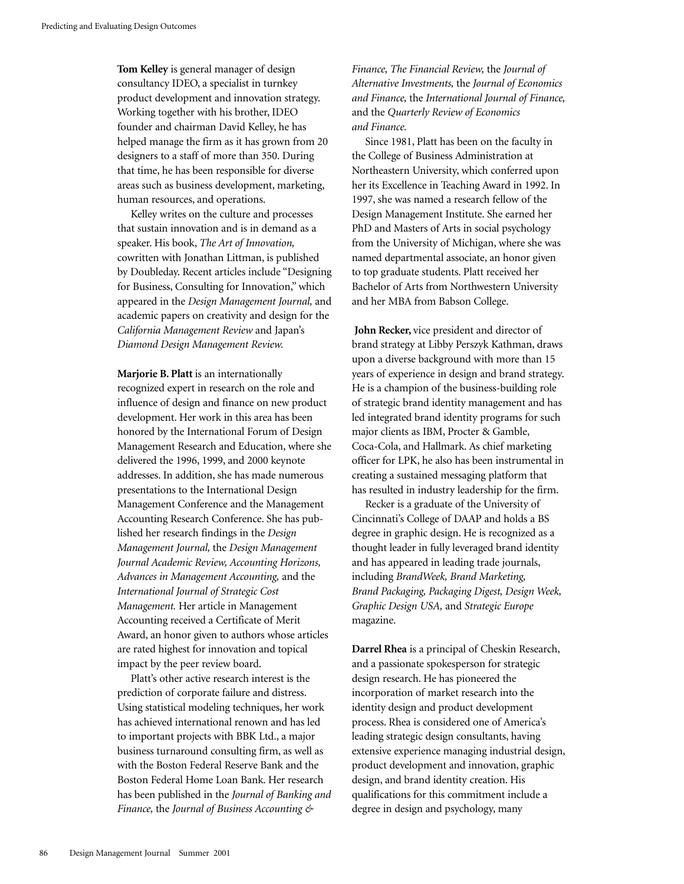**Tom Kelley** is general manager of design consultancy IDEO, a specialist in turnkey product development and innovation strategy. Working together with his brother, IDEO founder and chairman David Kelley, he has helped manage the firm as it has grown from 20 designers to a staff of more than 350. During that time, he has been responsible for diverse areas such as business development, marketing, human resources, and operations.

Kelley writes on the culture and processes that sustain innovation and is in demand as a speaker. His book, *The Art of Innovation,* cowritten with Jonathan Littman, is published by Doubleday. Recent articles include "Designing for Business, Consulting for Innovation," which appeared in the *Design Management Journal,* and academic papers on creativity and design for the *California Management Review* and Japan's *Diamond Design Management Review.*

**Marjorie B. Platt** is an internationally recognized expert in research on the role and influence of design and finance on new product development. Her work in this area has been honored by the International Forum of Design Management Research and Education, where she delivered the 1996, 1999, and 2000 keynote addresses. In addition, she has made numerous presentations to the International Design Management Conference and the Management Accounting Research Conference. She has published her research findings in the *Design Management Journal,* the *Design Management Journal Academic Review, Accounting Horizons, Advances in Management Accounting,* and the *International Journal of Strategic Cost Management.* Her article in Management Accounting received a Certificate of Merit Award, an honor given to authors whose articles are rated highest for innovation and topical impact by the peer review board.

Platt's other active research interest is the prediction of corporate failure and distress. Using statistical modeling techniques, her work has achieved international renown and has led to important projects with BBK Ltd., a major business turnaround consulting firm, as well as with the Boston Federal Reserve Bank and the Boston Federal Home Loan Bank. Her research has been published in the *Journal of Banking and Finance,* the *Journal of Business Accounting &*

*Finance, The Financial Review,* the *Journal of Alternative Investments,* the *Journal of Economics and Finance,* the *International Journal of Finance,* and the *Quarterly Review of Economics and Finance.*

Since 1981, Platt has been on the faculty in the College of Business Administration at Northeastern University, which conferred upon her its Excellence in Teaching Award in 1992. In 1997, she was named a research fellow of the Design Management Institute. She earned her PhD and Masters of Arts in social psychology from the University of Michigan, where she was named departmental associate, an honor given to top graduate students. Platt received her Bachelor of Arts from Northwestern University and her MBA from Babson College.

**John Recker,** vice president and director of brand strategy at Libby Perszyk Kathman, draws upon a diverse background with more than 15 years of experience in design and brand strategy. He is a champion of the business-building role of strategic brand identity management and has led integrated brand identity programs for such major clients as IBM, Procter & Gamble, Coca-Cola, and Hallmark. As chief marketing officer for LPK, he also has been instrumental in creating a sustained messaging platform that has resulted in industry leadership for the firm.

Recker is a graduate of the University of Cincinnati's College of DAAP and holds a BS degree in graphic design. He is recognized as a thought leader in fully leveraged brand identity and has appeared in leading trade journals, including *BrandWeek, Brand Marketing, Brand Packaging, Packaging Digest, Design Week, Graphic Design USA,* and *Strategic Europe* magazine.

**Darrel Rhea** is a principal of Cheskin Research, and a passionate spokesperson for strategic design research. He has pioneered the incorporation of market research into the identity design and product development process. Rhea is considered one of America's leading strategic design consultants, having extensive experience managing industrial design, product development and innovation, graphic design, and brand identity creation. His qualifications for this commitment include a degree in design and psychology, many